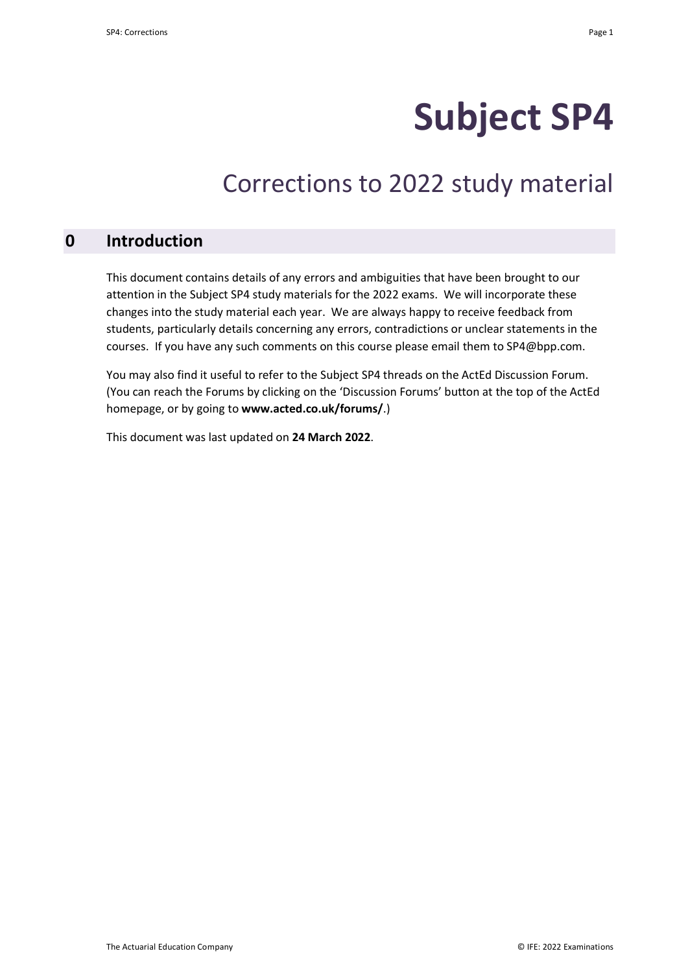# **Subject SP4**

## Corrections to 2022 study material

#### **0 Introduction**

This document contains details of any errors and ambiguities that have been brought to our attention in the Subject SP4 study materials for the 2022 exams. We will incorporate these changes into the study material each year. We are always happy to receive feedback from students, particularly details concerning any errors, contradictions or unclear statements in the courses. If you have any such comments on this course please email them to SP4@bpp.com.

You may also find it useful to refer to the Subject SP4 threads on the ActEd Discussion Forum. (You can reach the Forums by clicking on the 'Discussion Forums' button at the top of the ActEd homepage, or by going to **www.acted.co.uk/forums/**.)

This document was last updated on **24 March 2022**.